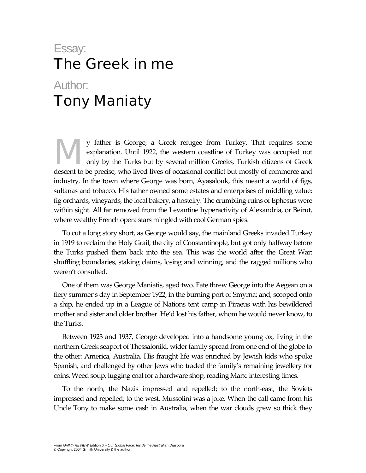## Essay: The Greek in me Author: Tony Maniaty

y father is George, a Greek refugee from Turkey. That requires some explanation. Until 1922, the western coastline of Turkey was occupied not only by the Turks but by several million Greeks, Turkish citizens of Greek descent to be precise, who lived lives of occasional conflict but mostly of commerce and industry. In the town where George was born, Ayasalouk, this meant a world of figs, sultanas and tobacco. His father owned some estates and enterprises of middling value: fig orchards, vineyards, the local bakery, a hostelry. The crumbling ruins of Ephesus were within sight. All far removed from the Levantine hyperactivity of Alexandria, or Beirut, where wealthy French opera stars mingled with cool German spies. M

To cut a long story short, as George would say, the mainland Greeks invaded Turkey in 1919 to reclaim the Holy Grail, the city of Constantinople, but got only halfway before the Turks pushed them back into the sea. This was the world after the Great War: shuffling boundaries, staking claims, losing and winning, and the ragged millions who weren't consulted.

One of them was George Maniatis, aged two. Fate threw George into the Aegean on a fiery summer's day in September 1922, in the burning port of Smyrna; and, scooped onto a ship, he ended up in a League of Nations tent camp in Piraeus with his bewildered mother and sister and older brother. He'd lost his father, whom he would never know, to the Turks.

Between 1923 and 1937, George developed into a handsome young ox, living in the northern Greek seaport of Thessaloniki, wider family spread from one end of the globe to the other: America, Australia. His fraught life was enriched by Jewish kids who spoke Spanish, and challenged by other Jews who traded the family's remaining jewellery for coins. Weed soup, lugging coal for a hardware shop, reading Marx: interesting times.

To the north, the Nazis impressed and repelled; to the north-east, the Soviets impressed and repelled; to the west, Mussolini was a joke. When the call came from his Uncle Tony to make some cash in Australia, when the war clouds grew so thick they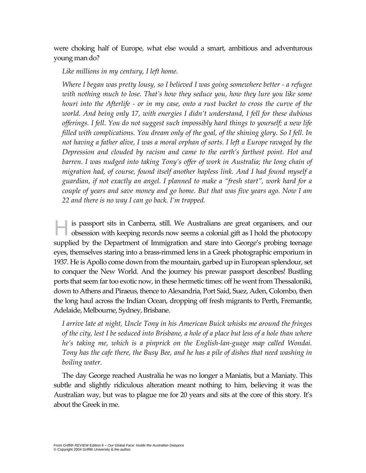were choking half of Europe, what else would a smart, ambitious and adventurous young man do?

## *Like millions in my century, I left home.*

*Where I began was pretty lousy, so I believed I was going somewhere better - a refugee*  with nothing much to lose. That's how they seduce you, how they lure you like some *houri into the Afterlife - or in my case, onto a rust bucket to cross the curve of the world. And being only 17, with energies I didn't understand, I fell for these dubious offerings. I fell. You do not suggest such impossibly hard things to yourself; a new life filled with complications. You dream only of the goal, of the shining glory. So I fell. In not having a father alive, I was a moral orphan of sorts. I left a Europe ravaged by the Depression and clouded by racism and came to the earth's farthest point. Hot and*  barren. I was nudged into taking Tony's offer of work in Australia; the long chain of *migration had, of course, found itself another hapless link. And I had found myself a guardian, if not exactly an angel. I planned to make a "fresh start", work hard for a couple of years and save money and go home. But that was five years ago. Now I am 22 and there is no way I can go back. I'm trapped.* 

is passport sits in Canberra, still. We Australians are great organisers, and our obsession with keeping records now seems a colonial gift as I hold the photocopy obsession with keeping records now seems a colonial gift as I hold the photocopy supplied by the Department of Immigration and stare into George's probing teenage eyes, themselves staring into a brass-rimmed lens in a Greek photographic emporium in 1937. He is Apollo come down from the mountain, garbed up in European splendour, set to conquer the New World. And the journey his prewar passport describes! Bustling ports that seem far too exotic now, in these hermetic times: off he went from Thessaloniki, down to Athens and Piraeus, thence to Alexandria, Port Said, Suez, Aden, Colombo, then the long haul across the Indian Ocean, dropping off fresh migrants to Perth, Fremantle, Adelaide, Melbourne, Sydney, Brisbane.

*I arrive late at night, Uncle Tony in his American Buick whisks me around the fringes of the city, lest I be seduced into Brisbane, a hole of a place but less of a hole than where he's taking me, which is a pinprick on the English-lan-guage map called Wondai. Tony has the cafe there, the Busy Bee, and he has a pile of dishes that need washing in boiling water.* 

The day George reached Australia he was no longer a Maniatis, but a Maniaty. This subtle and slightly ridiculous alteration meant nothing to him, believing it was the Australian way, but was to plague me for 20 years and sits at the core of this story. It's about the Greek in me.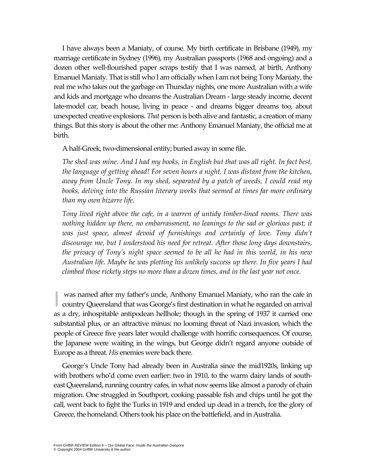I have always been a Maniaty, of course. My birth certificate in Brisbane (1949), my marriage certificate in Sydney (1996), my Australian passports (1968 and ongoing) and a dozen other well-flourished paper scraps testify that I was named, at birth, Anthony Emanuel Maniaty. That is still who I am officially when I am not being Tony Maniaty, the real me who takes out the garbage on Thursday nights, one more Australian with a wife and kids and mortgage who dreams the Australian Dream - large steady income, decent late-model car, beach house, living in peace - and dreams bigger dreams too, about unexpected creative explosions. *That* person is both alive and fantastic, a creation of many things. But this story is about the other me: Anthony Emanuel Maniaty, the official me at birth.

A half-Greek, two-dimensional entity; buried away in some file.

*The shed was mine. And I had my books, in English but that was all right. In fact best, the language of getting ahead! For seven hours a night, I was distant from the kitchen, away from Uncle Tony. In my shed, separated by a patch of weeds, I could read my books, delving into the Russian literary works that seemed at times far more ordinary than my own bizarre life.* 

*Tony lived right above the cafe, in a warren of untidy timber-lined rooms. There was nothing hidden up there, no embarrassment, no leanings to the sad or glorious past; it*  was just space, almost devoid of furnishings and certainly of love. Tony didn't *discourage me, but I understood his need for retreat. After those long days downstairs, the privacy of Tony's night space seemed to be all he had in this world, in his new Australian life. Maybe he was plotting his unlikely success up there. In five years I had climbed those rickety steps no more than a dozen times, and in the last year not once.* 

was named after my father's uncle, Anthony Emanuel Maniaty, who ran the cafe in **Exercise 2** was named after my father's uncle, Anthony Emanuel Maniaty, who ran the cafe in country Queensland that was George's first destination in what he regarded on arrival as a dry, inhospitable antipodean hellhole; though in the spring of 1937 it carried one substantial plus, or an attractive minus: no looming threat of Nazi invasion, which the people of Greece five years later would challenge with horrific consequences. Of course, the Japanese were waiting in the wings, but George didn't regard anyone outside of Europe as a threat. *His* enemies were back there.

George's Uncle Tony had already been in Australia since the mid1920s, linking up with brothers who'd come even earlier: two in 1910, to the warm dairy lands of southeast Queensland, running country cafes, in what now seems like almost a parody of chain migration. One struggled in Southport, cooking passable fish and chips until he got the call, went back to fight the Turks in 1919 and ended up dead in a trench, for the glory of Greece, the homeland. Others took his place on the battlefield, and in Australia.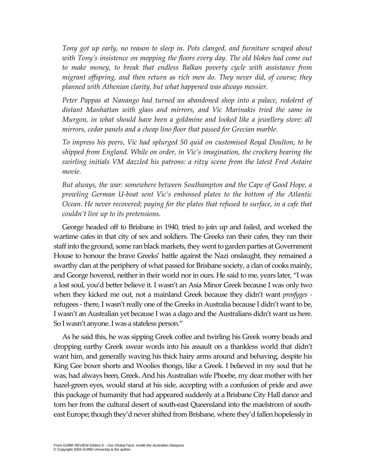*Tony got up early, no reason to sleep in. Pots clanged, and furniture scraped about with Tony's insistence on mopping the floors every day. The old blokes had come out to make money, to break that endless Balkan poverty cycle with assistance from migrant offspring, and then return as rich men do. They never did, of course; they planned with Athenian clarity, but what happened was always messier.* 

Peter Pappas at Nanango had turned an abandoned shop into a palace, redolent of *distant Manhattan with glass and mirrors, and Vic Marinakis tried the same in Murgon, in what should have been a goldmine and looked like a jewellery store: all mirrors, cedar panels and a cheap lino floor that passed for Grecian marble.* 

*To impress his peers, Vic had splurged 50 quid on customised Royal Doulton, to be shipped from England. While on order, in Vic's imagination, the crockery bearing the swirling initials VM dazzled his patrons: a ritzy scene from the latest Fred Astaire movie.* 

*But always, the war: somewhere between Southampton and the Cape of Good Hope, a prowling German U-boat sent Vic's embossed plates to the bottom of the Atlantic Ocean. He never recovered; paying for the plates that refused to surface, in a cafe that couldn't live up to its pretensions.* 

George headed off to Brisbane in 1940, tried to join up and failed, and worked the wartime cafes in that city of sex and soldiers. The Greeks ran their cafes, they ran their staff into the ground, some ran black markets, they went to garden parties at Government House to honour the brave Greeks' battle against the Nazi onslaught, they remained a swarthy clan at the periphery of what passed for Brisbane society, a clan of cooks mainly, and George hovered, neither in their world nor in ours. He said to me, years later, "I was a lost soul, you'd better believe it. I wasn't an Asia Minor Greek because I was only two when they kicked me out, not a mainland Greek because they didn't want *prosfyges*  refugees - there, I wasn't really one of the Greeks in Australia because I didn't want to be, I wasn't an Australian yet because I was a dago and the Australians didn't want us here. So I wasn't anyone. I was a stateless person."

As he said this, he was sipping Greek coffee and twirling his Greek worry beads and dropping earthy Greek swear words into his assault on a thankless world that didn't want him, and generally waving his thick hairy arms around and behaving, despite his King Gee boxer shorts and Woolies thongs, like a Greek. I believed in my soul that he was, had always been, Greek. And his Australian wife Phoebe, my dear mother with her hazel-green eyes, would stand at his side, accepting with a confusion of pride and awe this package of humanity that had appeared suddenly at a Brisbane City Hall dance and torn her from the cultural desert of south-east Queensland into the maelstrom of southeast Europe; though they'd never shifted from Brisbane, where they'd fallen hopelessly in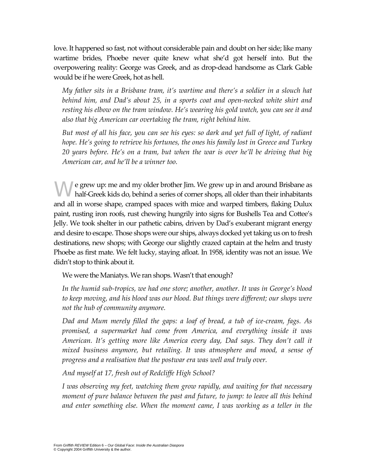love. It happened so fast, not without considerable pain and doubt on her side; like many wartime brides, Phoebe never quite knew what she'd got herself into. But the overpowering reality: George was Greek, and as drop-dead handsome as Clark Gable would be if he were Greek, hot as hell.

*My father sits in a Brisbane tram, it's wartime and there's a soldier in a slouch hat behind him, and Dad's about 25, in a sports coat and open-necked white shirt and resting his elbow on the tram window. He's wearing his gold watch, you can see it and also that big American car overtaking the tram, right behind him.* 

*But most of all his face, you can see his eyes: so dark and yet full of light, of radiant hope. He's going to retrieve his fortunes, the ones his family lost in Greece and Turkey 20 years before. He's on a tram, but when the war is over he'll be driving that big American car, and he'll be a winner too.* 

e grew up: me and my older brother Jim. We grew up in and around Brisbane as half-Greek kids do, behind a series of corner shops, all older than their inhabitants half-Greek kids do, behind a series of corner shops, all older than their inhabitants and all in worse shape, cramped spaces with mice and warped timbers, flaking Dulux paint, rusting iron roofs, rust chewing hungrily into signs for Bushells Tea and Cottee's Jelly. We took shelter in our pathetic cabins, driven by Dad's exuberant migrant energy and desire to escape. Those shops were our ships, always docked yet taking us on to fresh destinations, new shops; with George our slightly crazed captain at the helm and trusty Phoebe as first mate. We felt lucky, staying afloat. In 1958, identity was not an issue. We didn't stop to think about it.

We were the Maniatys. We ran shops. Wasn't that enough?

*In the humid sub-tropics, we had one store; another, another. It was in George's blood to keep moving, and his blood was our blood. But things were different; our shops were not the hub of community anymore.* 

*Dad and Mum merely filled the gaps: a loaf of bread, a tub of ice-cream, fags. As promised, a supermarket had come from America, and everything inside it was American. It's getting more like America every day, Dad says. They don't call it mixed business anymore, but retailing. It was atmosphere and mood, a sense of progress and a realisation that the postwar era was well and truly over.* 

*And myself at 17, fresh out of Redcliffe High School?* 

*I was observing my feet, watching them grow rapidly, and waiting for that necessary moment of pure balance between the past and future, to jump: to leave all this behind and enter something else. When the moment came, I was working as a teller in the*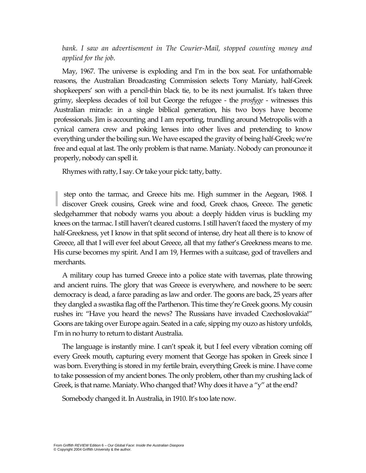*bank. I saw an advertisement in The Courier-Mail, stopped counting money and applied for the job.* 

May, 1967. The universe is exploding and I'm in the box seat. For unfathomable reasons, the Australian Broadcasting Commission selects Tony Maniaty, half-Greek shopkeepers' son with a pencil-thin black tie, to be its next journalist. It's taken three grimy, sleepless decades of toil but George the refugee - the *prosfyge* - witnesses this Australian miracle: in a single biblical generation, his two boys have become professionals. Jim is accounting and I am reporting, trundling around Metropolis with a cynical camera crew and poking lenses into other lives and pretending to know everything under the boiling sun. We have escaped the gravity of being half-Greek; we're free and equal at last. The only problem is that name. Maniaty. Nobody can pronounce it properly, nobody can spell it.

Rhymes with ratty, I say. Or take your pick: tatty, batty.

step onto the tarmac, and Greece hits me. High summer in the Aegean, 1968. I step onto the tarmac, and Greece hits me. High summer in the Aegean, 1968. I discover Greek cousins, Greek wine and food, Greek chaos, Greece. The genetic sledgehammer that nobody warns you about: a deeply hidden virus is buckling my knees on the tarmac. I still haven't cleared customs. I still haven't faced the mystery of my half-Greekness, yet I know in that split second of intense, dry heat all there is to know of Greece, all that I will ever feel about Greece, all that my father's Greekness means to me. His curse becomes my spirit. And I am 19, Hermes with a suitcase, god of travellers and merchants.

A military coup has turned Greece into a police state with tavernas, plate throwing and ancient ruins. The glory that was Greece is everywhere, and nowhere to be seen: democracy is dead, a farce parading as law and order. The goons are back, 25 years after they dangled a swastika flag off the Parthenon. This time they're Greek goons. My cousin rushes in: "Have you heard the news? The Russians have invaded Czechoslovakia!" Goons are taking over Europe again. Seated in a cafe, sipping my ouzo as history unfolds, I'm in no hurry to return to distant Australia.

The language is instantly mine. I can't speak it, but I feel every vibration coming off every Greek mouth, capturing every moment that George has spoken in Greek since I was born. Everything is stored in my fertile brain, everything Greek is mine. I have come to take possession of my ancient bones. The only problem, other than my crushing lack of Greek, is that name. Maniaty. Who changed that? Why does it have a "y" at the end?

Somebody changed it. In Australia, in 1910. It's too late now.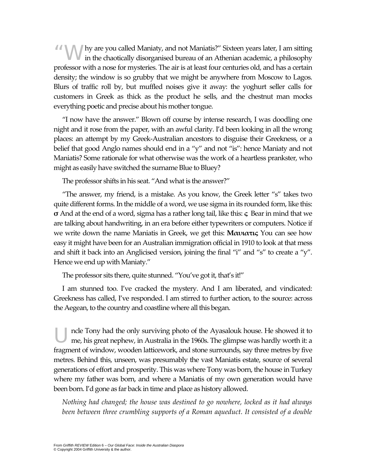A N N are you called Maniaty, and not Maniatis?" Sixteen years later, I am sitting in the chaotically disorganised bureau of an Athenian academic, a philosophy in the chaotically disorganised bureau of an Athenian academic, a philosophy professor with a nose for mysteries. The air is at least four centuries old, and has a certain density; the window is so grubby that we might be anywhere from Moscow to Lagos. Blurs of traffic roll by, but muffled noises give it away: the yoghurt seller calls for customers in Greek as thick as the product he sells, and the chestnut man mocks everything poetic and precise about his mother tongue.

"I now have the answer." Blown off course by intense research, I was doodling one night and it rose from the paper, with an awful clarity. I'd been looking in all the wrong places: an attempt by my Greek-Australian ancestors to disguise their Greekness, or a belief that good Anglo names should end in a "y" and not "is": hence Maniaty and not Maniatis? Some rationale for what otherwise was the work of a heartless prankster, who might as easily have switched the surname Blue to Bluey?

The professor shifts in his seat. "And what is the answer?"

"The answer, my friend, is a mistake. As you know, the Greek letter "s" takes two quite different forms. In the middle of a word, we use sigma in its rounded form, like this: **σ** And at the end of a word, sigma has a rather long tail, like this: **ς** Bear in mind that we are talking about handwriting, in an era before either typewriters or computers. Notice if we write down the name Maniatis in Greek, we get this: **Μαυιατις** You can see how easy it might have been for an Australian immigration official in 1910 to look at that mess and shift it back into an Anglicised version, joining the final "i" and "s" to create a "y". Hence we end up with Maniaty."

The professor sits there, quite stunned. "You've got it, that's it!"

I am stunned too. I've cracked the mystery. And I am liberated, and vindicated: Greekness has called, I've responded. I am stirred to further action, to the source: across the Aegean, to the country and coastline where all this began.

ncle Tony had the only surviving photo of the Ayasalouk house. He showed it to me, his great nephew, in Australia in the 1960s. The glimpse was hardly worth it: a fragment of window, wooden latticework, and stone surrounds, say three metres by five metres. Behind this, unseen, was presumably the vast Maniatis estate, source of several generations of effort and prosperity. This was where Tony was born, the house in Turkey where my father was born, and where a Maniatis of my own generation would have been born. I'd gone as far back in time and place as history allowed. U

*Nothing had changed; the house was destined to go nowhere, locked as it had always* been between three crumbling supports of a Roman aqueduct. It consisted of a double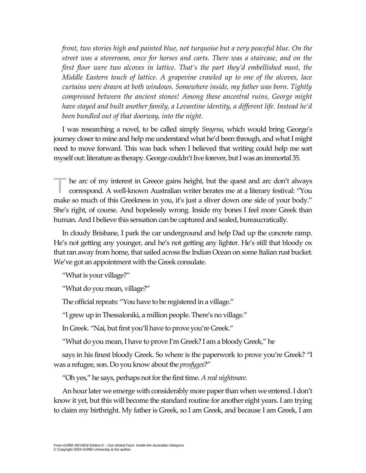*front, two stories high and painted blue, not turquoise but a very peaceful blue. On the street was a storeroom, once for horses and carts. There was a staircase, and on the first floor were two alcoves in lattice. That's the part they'd embellished most, the Middle Eastern touch of lattice. A grapevine crawled up to one of the alcoves, lace curtains were drawn at both windows. Somewhere inside, my father was born. Tightly compressed between the ancient stones! Among these ancestral ruins, George might have stayed and built another family, a Levantine identity, a different life. Instead he'd been bundled out of that doorway, into the night.* 

I was researching a novel, to be called simply *Smyrna*, which would bring George's journey closer to mine and help me understand what he'd been through, and what I might need to move forward. This was back when I believed that writing could help me sort myself out: literature as therapy. George couldn't live forever, but I was an immortal 35.

he arc of my interest in Greece gains height, but the quest and arc don't always correspond. A well-known Australian writer berates me at a literary festival: "You make so much of this Greekness in you, it's just a sliver down one side of your body." She's right, of course. And hopelessly wrong. Inside my bones I feel more Greek than human. And I believe this sensation can be captured and sealed, bureaucratically. T

In cloudy Brisbane, I park the car underground and help Dad up the concrete ramp. He's not getting any younger, and he's not getting any lighter. He's still that bloody ox that ran away from home, that sailed across the Indian Ocean on some Italian rust bucket. We've got an appointment with the Greek consulate.

"What is your village?"

"What do you mean, village?"

The official repeats: "You have to be registered in a village."

"I grew up in Thessaloniki, a million people. There's no village."

In Greek. "Nai, but first you'll have to prove you're Greek."

"What do you mean, I have to prove I'm Greek? I am a bloody Greek," he

says in his finest bloody Greek. So where is the paperwork to prove you're Greek? "I was a refugee, son. Do you know about the *prosfyges*?"

"Oh yes," he says, perhaps not for the first time. *A real nightmare.* 

An hour later we emerge with considerably more paper than when we entered. I don't know it yet, but this will become the standard routine for another eight years. I am trying to claim my birthright. My father is Greek, so I am Greek, and because I am Greek, I am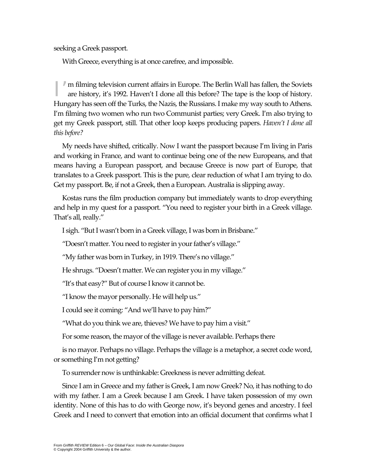seeking a Greek passport.

With Greece, everything is at once carefree, and impossible.

I'm filming television current affairs in Europe. The Berlin Wall has fallen, the Soviets are history, it's 1992. Haven't I done all this before? The tape is the loop of history. are history, it's 1992. Haven't I done all this before? The tape is the loop of history. Hungary has seen off the Turks, the Nazis, the Russians. I make my way south to Athens. I'm filming two women who run two Communist parties; very Greek. I'm also trying to get my Greek passport, still. That other loop keeps producing papers. *Haven't I done all this before?* 

My needs have shifted, critically. Now I want the passport because I'm living in Paris and working in France, and want to continue being one of the new Europeans, and that means having a European passport, and because Greece is now part of Europe, that translates to a Greek passport. This is the pure, clear reduction of what I am trying to do. Get my passport. Be, if not a Greek, then a European. Australia is slipping away.

Kostas runs the film production company but immediately wants to drop everything and help in my quest for a passport. "You need to register your birth in a Greek village. That's all, really."

I sigh. "But I wasn't born in a Greek village, I was born in Brisbane."

"Doesn't matter. You need to register in your father's village."

"My father was born in Turkey, in 1919. There's no village."

He shrugs. "Doesn't matter. We can register you in my village."

"It's that easy?" But of course I know it cannot be.

"I know the mayor personally. He will help us."

I could see it coming: "And we'll have to pay him?"

"What do you think we are, thieves? We have to pay him a visit."

For some reason, the mayor of the village is never available. Perhaps there

is no mayor. Perhaps no village. Perhaps the village is a metaphor, a secret code word, or something I'm not getting?

To surrender now is unthinkable: Greekness is never admitting defeat.

Since I am in Greece and my father is Greek, I am now Greek? No, it has nothing to do with my father. I am a Greek because I am Greek. I have taken possession of my own identity. None of this has to do with George now, it's beyond genes and ancestry. I feel Greek and I need to convert that emotion into an official document that confirms what I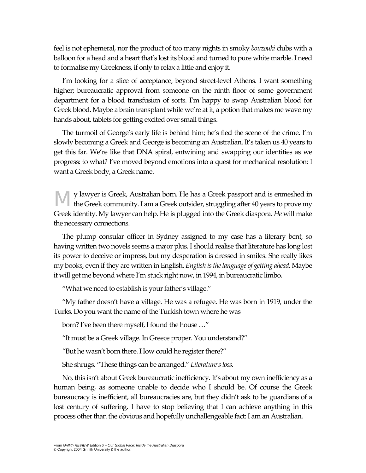feel is not ephemeral, nor the product of too many nights in smoky *bouzouki* clubs with a balloon for a head and a heart that's lost its blood and turned to pure white marble. I need to formalise my Greekness, if only to relax a little and enjoy it.

I'm looking for a slice of acceptance, beyond street-level Athens. I want something higher; bureaucratic approval from someone on the ninth floor of some government department for a blood transfusion of sorts. I'm happy to swap Australian blood for Greek blood. Maybe a brain transplant while we're at it, a potion that makes me wave my hands about, tablets for getting excited over small things.

The turmoil of George's early life is behind him; he's fled the scene of the crime. I'm slowly becoming a Greek and George is becoming an Australian. It's taken us 40 years to get this far. We're like that DNA spiral, entwining and swapping our identities as we progress: to what? I've moved beyond emotions into a quest for mechanical resolution: I want a Greek body, a Greek name.

y lawyer is Greek, Australian born. He has a Greek passport and is enmeshed in **the Greek community.** I am a Greek outsider, struggling after 40 years to prove my Greek identity. My lawyer can help. He is plugged into the Greek diaspora. *He* will make the necessary connections.

The plump consular officer in Sydney assigned to my case has a literary bent, so having written two novels seems a major plus. I should realise that literature has long lost its power to deceive or impress, but my desperation is dressed in smiles. She really likes my books, even if they are written in English. *English is the language of getting ahead.* Maybe it will get me beyond where I'm stuck right now, in 1994, in bureaucratic limbo.

"What we need to establish is your father's village."

"My father doesn't have a village. He was a refugee. He was born in 1919, under the Turks. Do you want the name of the Turkish town where he was

born? I've been there myself, I found the house …"

"It must be a Greek village. In Greece proper. You understand?"

"But he wasn't born there. How could he register there?"

She shrugs. "These things can be arranged." *Literature's loss.* 

No, this isn't about Greek bureaucratic inefficiency. It's about my own inefficiency as a human being, as someone unable to decide who I should be. Of course the Greek bureaucracy is inefficient, all bureaucracies are, but they didn't ask to be guardians of a lost century of suffering. I have to stop believing that I can achieve anything in this process other than the obvious and hopefully unchallengeable fact: I am an Australian.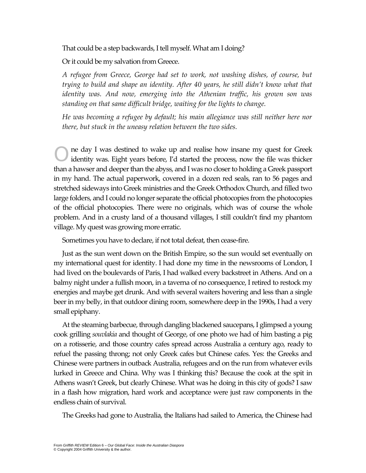That could be a step backwards,I tell myself. What am I doing?

Or it could be my salvation from Greece.

*A refugee from Greece, George had set to work, not washing dishes, of course, but trying to build and shape an identity. After 40 years, he still didn't know what that identity was. And now, emerging into the Athenian traffic, his grown son was standing on that same difficult bridge, waiting for the lights to change.* 

*He was becoming a refugee by default; his main allegiance was still neither here nor there, but stuck in the uneasy relation between the two sides.* 

ne day I was destined to wake up and realise how insane my quest for Greek identity was. Eight years before, I'd started the process, now the file was thicker than a hawser and deeper than the abyss, and I was no closer to holding a Greek passport in my hand. The actual paperwork, covered in a dozen red seals, ran to 56 pages and stretched sideways into Greek ministries and the Greek Orthodox Church, and filled two large folders, and I could no longer separate the official photocopies from the photocopies of the official photocopies. There were no originals, which was of course the whole problem. And in a crusty land of a thousand villages, I still couldn't find my phantom village. My quest was growing more erratic. O

Sometimes you have to declare, if not total defeat, then cease-fire.

Just as the sun went down on the British Empire, so the sun would set eventually on my international quest for identity. I had done my time in the newsrooms of London, I had lived on the boulevards of Paris, I had walked every backstreet in Athens. And on a balmy night under a fullish moon, in a taverna of no consequence, I retired to restock my energies and maybe get drunk. And with several waiters hovering and less than a single beer in my belly, in that outdoor dining room, somewhere deep in the 1990s, I had a very small epiphany.

At the steaming barbecue, through dangling blackened saucepans, I glimpsed a young cook grilling *souvlakia* and thought of George, of one photo we had of him basting a pig on a rotisserie, and those country cafes spread across Australia a century ago, ready to refuel the passing throng; not only Greek cafes but Chinese cafes. Yes: the Greeks and Chinese were partners in outback Australia, refugees and on the run from whatever evils lurked in Greece and China. Why was I thinking this? Because the cook at the spit in Athens wasn't Greek, but clearly Chinese. What was he doing in this city of gods? I saw in a flash how migration, hard work and acceptance were just raw components in the endless chain of survival.

The Greeks had gone to Australia, the Italians had sailed to America, the Chinese had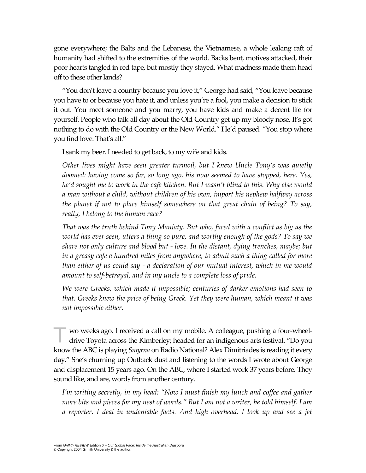gone everywhere; the Balts and the Lebanese, the Vietnamese, a whole leaking raft of humanity had shifted to the extremities of the world. Backs bent, motives attacked, their poor hearts tangled in red tape, but mostly they stayed. What madness made them head off to these other lands?

"You don't leave a country because you love it," George had said, "You leave because you have to or because you hate it, and unless you're a fool, you make a decision to stick it out. You meet someone and you marry, you have kids and make a decent life for yourself. People who talk all day about the Old Country get up my bloody nose. It's got nothing to do with the Old Country or the New World." He'd paused. "You stop where you find love. That's all."

I sank my beer. I needed to get back, to my wife and kids.

*Other lives might have seen greater turmoil, but I knew Uncle Tony's was quietly doomed: having come so far, so long ago, his now seemed to have stopped, here. Yes, he'd sought me to work in the cafe kitchen. But I wasn't blind to this. Why else would a man without a child, without children of his own, import his nephew halfway across the planet if not to place himself somewhere on that great chain of being? To say, really, I belong to the human race?* 

*That was the truth behind Tony Maniaty. But who, faced with a conflict as big as the world has ever seen, utters a thing so pure, and worthy enough of the gods? To say we share not only culture and blood but - love. In the distant, dying trenches, maybe; but in a greasy cafe a hundred miles from anywhere, to admit such a thing called for more than either of us could say - a declaration of our mutual interest, which in me would amount to self-betrayal, and in my uncle to a complete loss of pride.* 

*We were Greeks, which made it impossible; centuries of darker emotions had seen to that. Greeks knew the price of being Greek. Yet they were human, which meant it was not impossible either.* 

wo weeks ago, I received a call on my mobile. A colleague, pushing a four-wheeldrive Toyota across the Kimberley; headed for an indigenous arts festival. "Do you know the ABC is playing *Smyrna* on Radio National? Alex Dimitriades is reading it every day." She's churning up Outback dust and listening to the words I wrote about George and displacement 15 years ago. On the ABC, where I started work 37 years before. They sound like, and are, words from another century. T

*I'm writing secretly, in my head: "Now I must finish my lunch and coffee and gather more bits and pieces for my nest of words." But I am not a writer, he told himself. I am a reporter. I deal in undeniable facts. And high overhead, I look up and see a jet*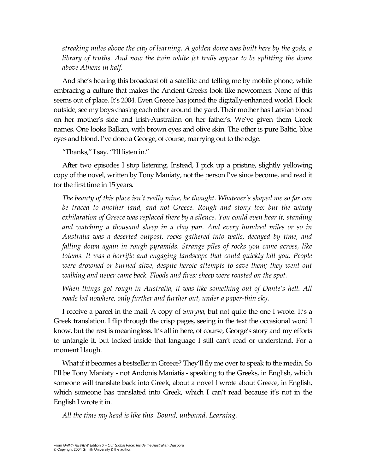*streaking miles above the city of learning. A golden dome was built here by the gods, a library of truths. And now the twin white jet trails appear to be splitting the dome above Athens in half.* 

And she's hearing this broadcast off a satellite and telling me by mobile phone, while embracing a culture that makes the Ancient Greeks look like newcomers. None of this seems out of place. It's 2004. Even Greece has joined the digitally-enhanced world. I look outside, see my boys chasing each other around the yard. Their mother has Latvian blood on her mother's side and Irish-Australian on her father's. We've given them Greek names. One looks Balkan, with brown eyes and olive skin. The other is pure Baltic, blue eyes and blond. I've done a George, of course, marrying out to the edge.

"Thanks," I say. "I'll listen in."

After two episodes I stop listening. Instead, I pick up a pristine, slightly yellowing copy of the novel, written by Tony Maniaty, not the person I've since become, and read it for the first time in 15 years.

*The beauty of this place isn't really mine, he thought. Whatever's shaped me so far can be traced to another land, and not Greece. Rough and stony too; but the windy exhilaration of Greece was replaced there by a silence. You could even hear it, standing and watching a thousand sheep in a clay pan. And every hundred miles or so in Australia was a deserted outpost, rocks gathered into walls, decayed by time, and falling down again in rough pyramids. Strange piles of rocks you came across, like totems. It was a horrific and engaging landscape that could quickly kill you. People were drowned or burned alive, despite heroic attempts to save them; they went out walking and never came back. Floods and fires: sheep were roasted on the spot.* 

*When things got rough in Australia, it was like something out of Dante's hell. All roads led nowhere, only further and further out, under a paper-thin sky.* 

I receive a parcel in the mail. A copy of *Smryna*, but not quite the one I wrote. It's a Greek translation. I flip through the crisp pages, seeing in the text the occasional word I know, but the rest is meaningless. It's all in here, of course, George's story and my efforts to untangle it, but locked inside that language I still can't read or understand. For a moment I laugh.

What if it becomes a bestseller in Greece? They'll fly me over to speak to the media. So I'll be Tony Maniaty - not Andonis Maniatis - speaking to the Greeks, in English, which someone will translate back into Greek, about a novel I wrote about Greece, in English, which someone has translated into Greek, which I can't read because it's not in the English I wrote it in.

*All the time my head is like this. Bound, unbound. Learning.*